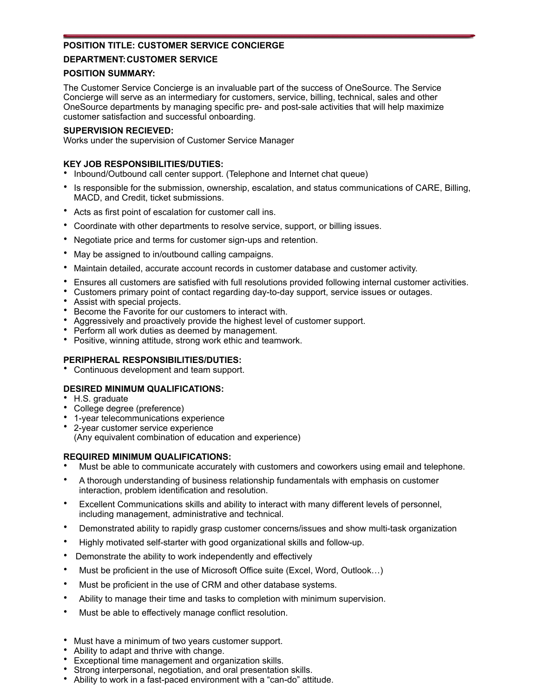# **POSITION TITLE: CUSTOMER SERVICE CONCIERGE**

# **DEPARTMENT: CUSTOMER SERVICE**

## **POSITION SUMMARY:**

The Customer Service Concierge is an invaluable part of the success of OneSource. The Service Concierge will serve as an intermediary for customers, service, billing, technical, sales and other OneSource departments by managing specific pre- and post-sale activities that will help maximize customer satisfaction and successful onboarding.

## **SUPERVISION RECIEVED:**

Works under the supervision of Customer Service Manager

# **KEY JOB RESPONSIBILITIES/DUTIES:**

- Inbound/Outbound call center support. (Telephone and Internet chat queue)
- Is responsible for the submission, ownership, escalation, and status communications of CARE, Billing, MACD, and Credit, ticket submissions.
- Acts as first point of escalation for customer call ins.
- Coordinate with other departments to resolve service, support, or billing issues.
- Negotiate price and terms for customer sign-ups and retention.
- May be assigned to in/outbound calling campaigns.
- Maintain detailed, accurate account records in customer database and customer activity.
- Ensures all customers are satisfied with full resolutions provided following internal customer activities.
- Customers primary point of contact regarding day-to-day support, service issues or outages.
- Assist with special projects.
- Become the Favorite for our customers to interact with.
- Aggressively and proactively provide the highest level of customer support.
- Perform all work duties as deemed by management.
- Positive, winning attitude, strong work ethic and teamwork.

# **PERIPHERAL RESPONSIBILITIES/DUTIES:**

• Continuous development and team support.

## **DESIRED MINIMUM QUALIFICATIONS:**

- H.S. graduate
- College degree (preference)
- 1-year telecommunications experience
- 2-year customer service experience

(Any equivalent combination of education and experience)

## **REQUIRED MINIMUM QUALIFICATIONS:**

- Must be able to communicate accurately with customers and coworkers using email and telephone.
- A thorough understanding of business relationship fundamentals with emphasis on customer interaction, problem identification and resolution.
- Excellent Communications skills and ability to interact with many different levels of personnel, including management, administrative and technical.
- Demonstrated ability to rapidly grasp customer concerns/issues and show multi-task organization
- Highly motivated self-starter with good organizational skills and follow-up.
- Demonstrate the ability to work independently and effectively
- Must be proficient in the use of Microsoft Office suite (Excel, Word, Outlook...)
- Must be proficient in the use of CRM and other database systems.
- Ability to manage their time and tasks to completion with minimum supervision.
- Must be able to effectively manage conflict resolution.
- Must have a minimum of two years customer support.
- Ability to adapt and thrive with change.
- Exceptional time management and organization skills.
- Strong interpersonal, negotiation, and oral presentation skills.
- Ability to work in a fast-paced environment with a "can-do" attitude.